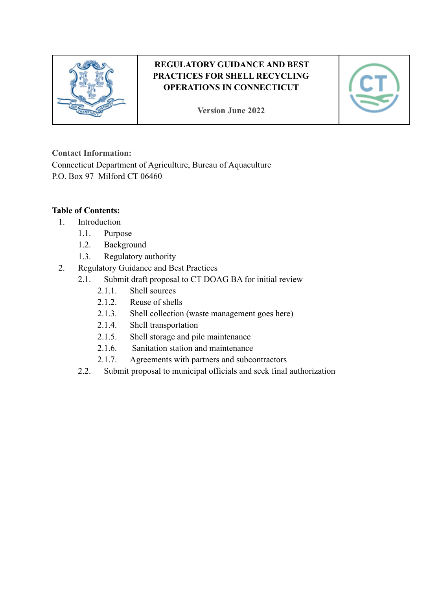

# **REGULATORY GUIDANCE AND BEST PRACTICES FOR SHELL RECYCLING OPERATIONS IN CONNECTICUT**

**Version June 2022**



### **Contact Information:**

Connecticut Department of Agriculture, Bureau of Aquaculture P.O. Box 97 Milford CT 06460

### **Table of Contents:**

- 1. Introduction
	- 1.1. Purpose
	- 1.2. Background
	- 1.3. Regulatory authority
- 2. Regulatory Guidance and Best Practices
	- 2.1. Submit draft proposal to CT DOAG BA for initial review
		- 2.1.1. Shell sources
		- 2.1.2. Reuse of shells
		- 2.1.3. Shell collection (waste management goes here)
		- 2.1.4. Shell transportation
		- 2.1.5. Shell storage and pile maintenance
		- 2.1.6. Sanitation station and maintenance
		- 2.1.7. Agreements with partners and subcontractors
		- 2.2. Submit proposal to municipal officials and seek final authorization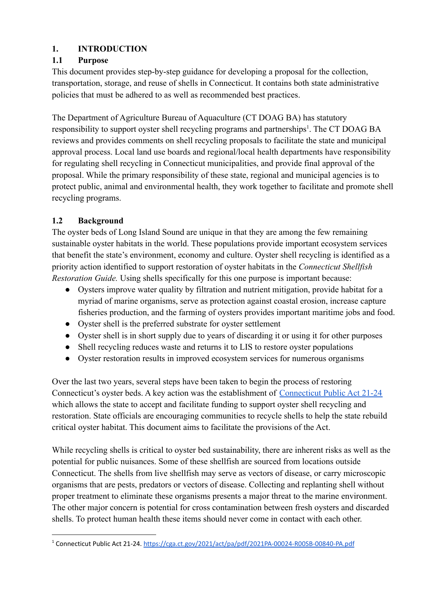## **1. INTRODUCTION**

## **1.1 Purpose**

This document provides step-by-step guidance for developing a proposal for the collection, transportation, storage, and reuse of shells in Connecticut. It contains both state administrative policies that must be adhered to as well as recommended best practices.

The Department of Agriculture Bureau of Aquaculture (CT DOAG BA) has statutory responsibility to support oyster shell recycling programs and partnerships<sup>1</sup>. The CT DOAG BA reviews and provides comments on shell recycling proposals to facilitate the state and municipal approval process. Local land use boards and regional/local health departments have responsibility for regulating shell recycling in Connecticut municipalities, and provide final approval of the proposal. While the primary responsibility of these state, regional and municipal agencies is to protect public, animal and environmental health, they work together to facilitate and promote shell recycling programs.

## **1.2 Background**

The oyster beds of Long Island Sound are unique in that they are among the few remaining sustainable oyster habitats in the world. These populations provide important ecosystem services that benefit the state's environment, economy and culture. Oyster shell recycling is identified as a priority action identified to support restoration of oyster habitats in the *Connecticut Shellfish Restoration Guide.* Using shells specifically for this one purpose is important because:

- Oysters improve water quality by filtration and nutrient mitigation, provide habitat for a myriad of marine organisms, serve as protection against coastal erosion, increase capture fisheries production, and the farming of oysters provides important maritime jobs and food.
- Oyster shell is the preferred substrate for oyster settlement
- Oyster shell is in short supply due to years of discarding it or using it for other purposes
- Shell recycling reduces waste and returns it to LIS to restore oyster populations
- Oyster restoration results in improved ecosystem services for numerous organisms

Over the last two years, several steps have been taken to begin the process of restoring Connecticut's oyster beds. A key action was the establishment of [Connecticut Public Act 21-24](https://cga.ct.gov/2021/act/pa/pdf/2021PA-00024-R00SB-00840-PA.pdf) which allows the state to accept and facilitate funding to support oyster shell recycling and restoration. State officials are encouraging communities to recycle shells to help the state rebuild critical oyster habitat. This document aims to facilitate the provisions of the Act.

While recycling shells is critical to oyster bed sustainability, there are inherent risks as well as the potential for public nuisances. Some of these shellfish are sourced from locations outside Connecticut. The shells from live shellfish may serve as vectors of disease, or carry microscopic organisms that are pests, predators or vectors of disease. Collecting and replanting shell without proper treatment to eliminate these organisms presents a major threat to the marine environment. The other major concern is potential for cross contamination between fresh oysters and discarded shells. To protect human health these items should never come in contact with each other.

<sup>1</sup> Connecticut Public Act 21-24. <https://cga.ct.gov/2021/act/pa/pdf/2021PA-00024-R00SB-00840-PA.pdf>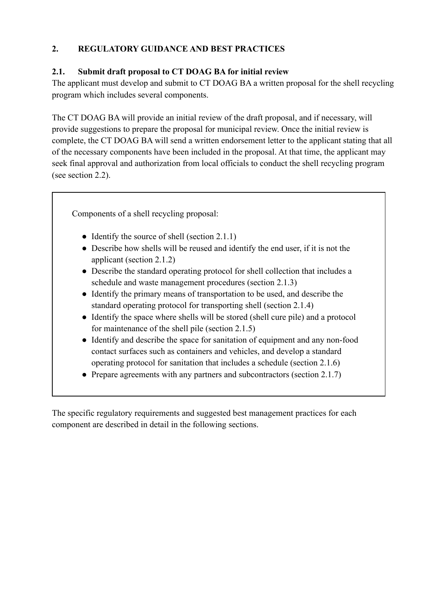## **2. REGULATORY GUIDANCE AND BEST PRACTICES**

### **2.1. Submit draft proposal to CT DOAG BA for initial review**

The applicant must develop and submit to CT DOAG BA a written proposal for the shell recycling program which includes several components.

The CT DOAG BA will provide an initial review of the draft proposal, and if necessary, will provide suggestions to prepare the proposal for municipal review. Once the initial review is complete, the CT DOAG BA will send a written endorsement letter to the applicant stating that all of the necessary components have been included in the proposal. At that time, the applicant may seek final approval and authorization from local officials to conduct the shell recycling program (see section 2.2).

Components of a shell recycling proposal:

- Identify the source of shell (section 2.1.1)
- Describe how shells will be reused and identify the end user, if it is not the applicant (section 2.1.2)
- Describe the standard operating protocol for shell collection that includes a schedule and waste management procedures (section 2.1.3)
- Identify the primary means of transportation to be used, and describe the standard operating protocol for transporting shell (section 2.1.4)
- Identify the space where shells will be stored (shell cure pile) and a protocol for maintenance of the shell pile (section 2.1.5)
- Identify and describe the space for sanitation of equipment and any non-food contact surfaces such as containers and vehicles, and develop a standard operating protocol for sanitation that includes a schedule (section 2.1.6)
- Prepare agreements with any partners and subcontractors (section 2.1.7)

The specific regulatory requirements and suggested best management practices for each component are described in detail in the following sections.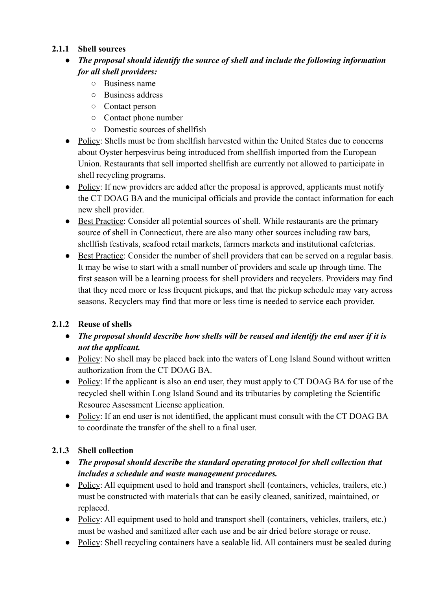### **2.1.1 Shell sources**

- *● The proposal should identify the source of shell and include the following information for all shell providers:*
	- Business name
	- Business address
	- Contact person
	- Contact phone number
	- Domestic sources of shellfish
- Policy: Shells must be from shell fish harvested within the United States due to concerns about Oyster herpesvirus being introduced from shellfish imported from the European Union. Restaurants that sell imported shellfish are currently not allowed to participate in shell recycling programs.
- Policy: If new providers are added after the proposal is approved, applicants must notify the CT DOAG BA and the municipal officials and provide the contact information for each new shell provider.
- Best Practice: Consider all potential sources of shell. While restaurants are the primary source of shell in Connecticut, there are also many other sources including raw bars, shellfish festivals, seafood retail markets, farmers markets and institutional cafeterias.
- Best Practice: Consider the number of shell providers that can be served on a regular basis. It may be wise to start with a small number of providers and scale up through time. The first season will be a learning process for shell providers and recyclers. Providers may find that they need more or less frequent pickups, and that the pickup schedule may vary across seasons. Recyclers may find that more or less time is needed to service each provider.

### **2.1.2 Reuse of shells**

- *● The proposal should describe how shells will be reused and identify the end user if it is not the applicant.*
- Policy: No shell may be placed back into the waters of Long Island Sound without written authorization from the CT DOAG BA.
- Policy: If the applicant is also an end user, they must apply to CT DOAG BA for use of the recycled shell within Long Island Sound and its tributaries by completing the Scientific Resource Assessment License application.
- Policy: If an end user is not identified, the applicant must consult with the CT DOAG BA to coordinate the transfer of the shell to a final user.

### **2.1.3 Shell collection**

- *● The proposal should describe the standard operating protocol for shell collection that includes a schedule and waste management procedures.*
- Policy: All equipment used to hold and transport shell (containers, vehicles, trailers, etc.) must be constructed with materials that can be easily cleaned, sanitized, maintained, or replaced.
- Policy: All equipment used to hold and transport shell (containers, vehicles, trailers, etc.) must be washed and sanitized after each use and be air dried before storage or reuse.
- Policy: Shell recycling containers have a sealable lid. All containers must be sealed during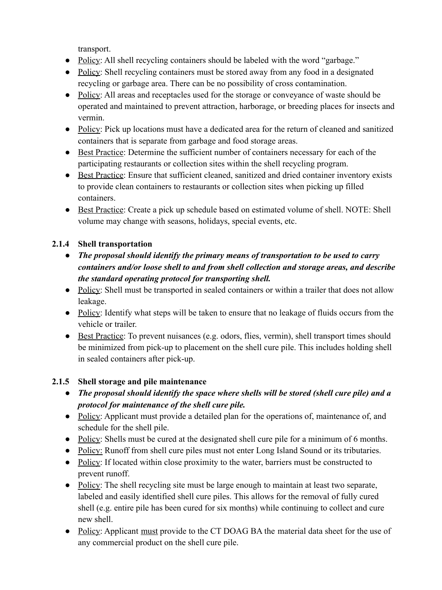transport.

- Policy: All shell recycling containers should be labeled with the word "garbage."
- Policy: Shell recycling containers must be stored away from any food in a designated recycling or garbage area. There can be no possibility of cross contamination.
- Policy: All areas and receptacles used for the storage or conveyance of waste should be operated and maintained to prevent attraction, harborage, or breeding places for insects and vermin.
- Policy: Pick up locations must have a dedicated area for the return of cleaned and sanitized containers that is separate from garbage and food storage areas.
- Best Practice: Determine the sufficient number of containers necessary for each of the participating restaurants or collection sites within the shell recycling program.
- Best Practice: Ensure that sufficient cleaned, sanitized and dried container inventory exists to provide clean containers to restaurants or collection sites when picking up filled containers.
- Best Practice: Create a pick up schedule based on estimated volume of shell. NOTE: Shell volume may change with seasons, holidays, special events, etc.

## **2.1.4 Shell transportation**

- *● The proposal should identify the primary means of transportation to be used to carry containers and/or loose shell to and from shell collection and storage areas, and describe the standard operating protocol for transporting shell.*
- Policy: Shell must be transported in sealed containers or within a trailer that does not allow leakage.
- Policy: Identify what steps will be taken to ensure that no leakage of fluids occurs from the vehicle or trailer.
- Best Practice: To prevent nuisances (e.g. odors, flies, vermin), shell transport times should be minimized from pick-up to placement on the shell cure pile. This includes holding shell in sealed containers after pick-up.

### **2.1.5 Shell storage and pile maintenance**

- *● The proposal should identify the space where shells will be stored (shell cure pile) and a protocol for maintenance of the shell cure pile.*
- Policy: Applicant must provide a detailed plan for the operations of, maintenance of, and schedule for the shell pile.
- Policy: Shells must be cured at the designated shell cure pile for a minimum of 6 months.
- Policy: Runoff from shell cure piles must not enter Long Island Sound or its tributaries.
- Policy: If located within close proximity to the water, barriers must be constructed to prevent runoff.
- Policy: The shell recycling site must be large enough to maintain at least two separate, labeled and easily identified shell cure piles. This allows for the removal of fully cured shell (e.g. entire pile has been cured for six months) while continuing to collect and cure new shell.
- Policy: Applicant must provide to the CT DOAG BA the material data sheet for the use of any commercial product on the shell cure pile.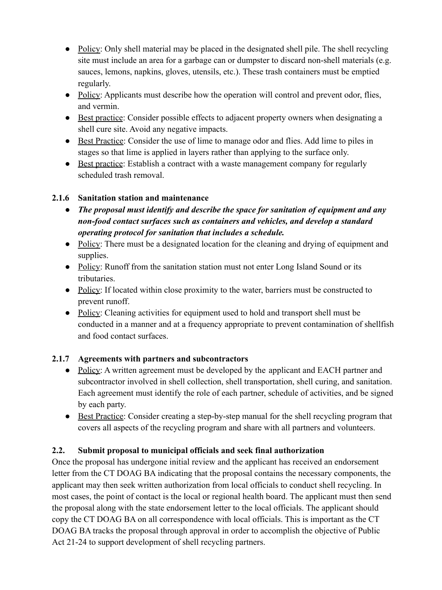- Policy: Only shell material may be placed in the designated shell pile. The shell recycling site must include an area for a garbage can or dumpster to discard non-shell materials (e.g. sauces, lemons, napkins, gloves, utensils, etc.). These trash containers must be emptied regularly.
- Policy: Applicants must describe how the operation will control and prevent odor, flies, and vermin.
- Best practice: Consider possible effects to adjacent property owners when designating a shell cure site. Avoid any negative impacts.
- Best Practice: Consider the use of lime to manage odor and flies. Add lime to piles in stages so that lime is applied in layers rather than applying to the surface only.
- Best practice: Establish a contract with a waste management company for regularly scheduled trash removal.

#### **2.1.6 Sanitation station and maintenance**

- *● The proposal must identify and describe the space for sanitation of equipment and any non-food contact surfaces such as containers and vehicles, and develop a standard operating protocol for sanitation that includes a schedule.*
- Policy: There must be a designated location for the cleaning and drying of equipment and supplies.
- Policy: Runoff from the sanitation station must not enter Long Island Sound or its tributaries.
- Policy: If located within close proximity to the water, barriers must be constructed to prevent runoff.
- Policy: Cleaning activities for equipment used to hold and transport shell must be conducted in a manner and at a frequency appropriate to prevent contamination of shellfish and food contact surfaces.

### **2.1.7 Agreements with partners and subcontractors**

- Policy: A written agreement must be developed by the applicant and EACH partner and subcontractor involved in shell collection, shell transportation, shell curing, and sanitation. Each agreement must identify the role of each partner, schedule of activities, and be signed by each party.
- Best Practice: Consider creating a step-by-step manual for the shell recycling program that covers all aspects of the recycling program and share with all partners and volunteers.

### **2.2. Submit proposal to municipal officials and seek final authorization**

Once the proposal has undergone initial review and the applicant has received an endorsement letter from the CT DOAG BA indicating that the proposal contains the necessary components, the applicant may then seek written authorization from local officials to conduct shell recycling. In most cases, the point of contact is the local or regional health board. The applicant must then send the proposal along with the state endorsement letter to the local officials. The applicant should copy the CT DOAG BA on all correspondence with local officials. This is important as the CT DOAG BA tracks the proposal through approval in order to accomplish the objective of Public Act 21-24 to support development of shell recycling partners.